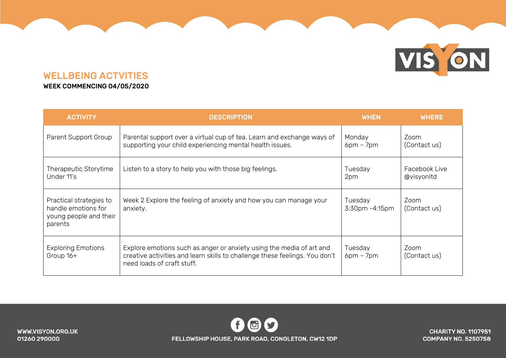# VIS ON

### WELLBEING ACTVITIES

### WEEK COMMENCING 04/05/2020

| <b>ACTIVITY</b>                                                                     | <b>DESCRIPTION</b>                                                                                                                                                                | <b>WHEN</b>                     | <b>WHERE</b>                |
|-------------------------------------------------------------------------------------|-----------------------------------------------------------------------------------------------------------------------------------------------------------------------------------|---------------------------------|-----------------------------|
| Parent Support Group                                                                | Parental support over a virtual cup of tea. Learn and exchange ways of<br>supporting your child experiencing mental health issues.                                                | Monday<br>$6pm - 7pm$           | Zoom<br>(Contact us)        |
| Therapeutic Storytime<br>Under 11's                                                 | Listen to a story to help you with those big feelings.                                                                                                                            | Tuesday<br>2pm                  | Facebook Live<br>@visyonItd |
| Practical strategies to<br>handle emotions for<br>young people and their<br>parents | Week 2 Explore the feeling of anxiety and how you can manage your<br>anxiety.                                                                                                     | Tuesday<br>$3:30$ pm $-4:15$ pm | Zoom<br>(Contact us)        |
| <b>Exploring Emotions</b><br>Group 16+                                              | Explore emotions such as anger or anxiety using the media of art and<br>creative activities and learn skills to challenge these feelings. You don't<br>need loads of craft stuff. | Tuesday<br>$6pm - 7pm$          | Zoom<br>(Contact us)        |

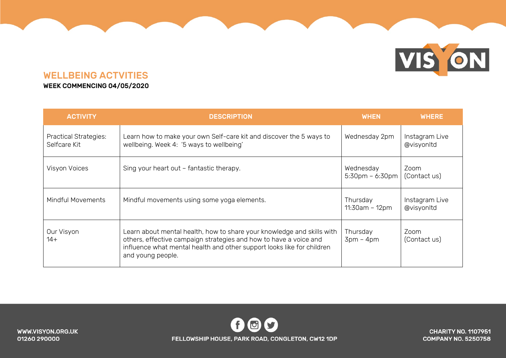# VIS ON

## WELLBEING ACTVITIES

#### WEEK COMMENCING 04/05/2020

| <b>ACTIVITY</b>                              | <b>DESCRIPTION</b>                                                                                                                                                                                                                         | <b>WHEN</b>                  | <b>WHERE</b>                 |
|----------------------------------------------|--------------------------------------------------------------------------------------------------------------------------------------------------------------------------------------------------------------------------------------------|------------------------------|------------------------------|
| <b>Practical Strategies:</b><br>Selfcare Kit | Learn how to make your own Self-care kit and discover the 5 ways to<br>wellbeing. Week 4: '5 ways to wellbeing'                                                                                                                            | Wednesday 2pm                | Instagram Live<br>@visyonItd |
| Visyon Voices                                | Sing your heart out - fantastic therapy.                                                                                                                                                                                                   | Wednesday<br>5:30pm - 6:30pm | Zoom<br>(Contact us)         |
| <b>Mindful Movements</b>                     | Mindful movements using some yoga elements.                                                                                                                                                                                                | Thursday<br>$11:30am - 12pm$ | Instagram Live<br>@visyonItd |
| Our Visyon<br>$14+$                          | Learn about mental health, how to share your knowledge and skills with<br>others, effective campaign strategies and how to have a voice and<br>influence what mental health and other support looks like for children<br>and young people. | Thursday<br>$3pm - 4pm$      | Zoom<br>(Contact us)         |